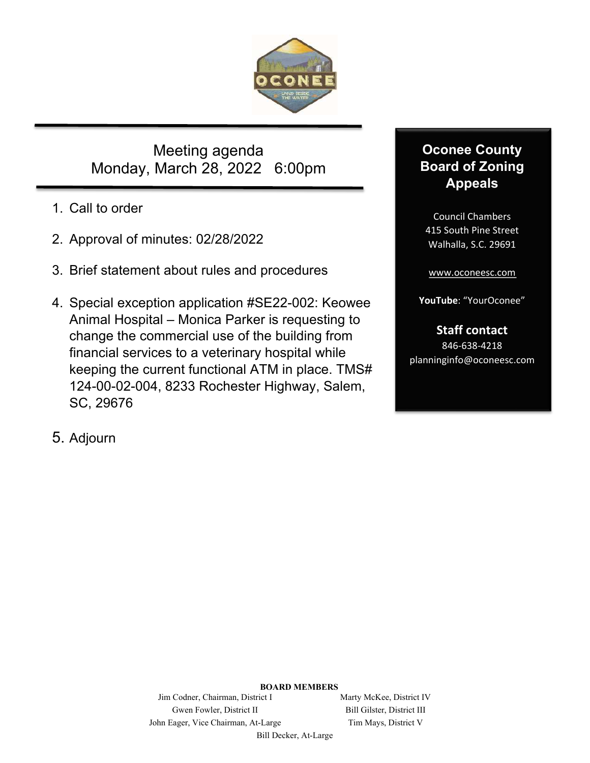

Meeting agenda Monday, March 28, 2022 6:00pm

- 1. Call to order
- 2. Approval of minutes: 02/28/2022
- 3. Brief statement about rules and procedures
- 4. Special exception application #SE22-002: Keowee Animal Hospital – Monica Parker is requesting to change the commercial use of the building from financial services to a veterinary hospital while keeping the current functional ATM in place. TMS# 124-00-02-004, 8233 Rochester Highway, Salem, SC, 29676

# **Oconee County Board of Zoning Appeals**

Council Chambers 415 South Pine Street Walhalla, S.C. 29691

www.oconeesc.com

**YouTube**: "YourOconee"

## **Staff contact**

846‐638‐4218 planninginfo@oconeesc.com

5. Adjourn

**BOARD MEMBERS** 

Jim Codner, Chairman, District I Marty McKee, District IV Gwen Fowler, District II Bill Gilster, District III John Eager, Vice Chairman, At-Large Tim Mays, District V

Bill Decker, At-Large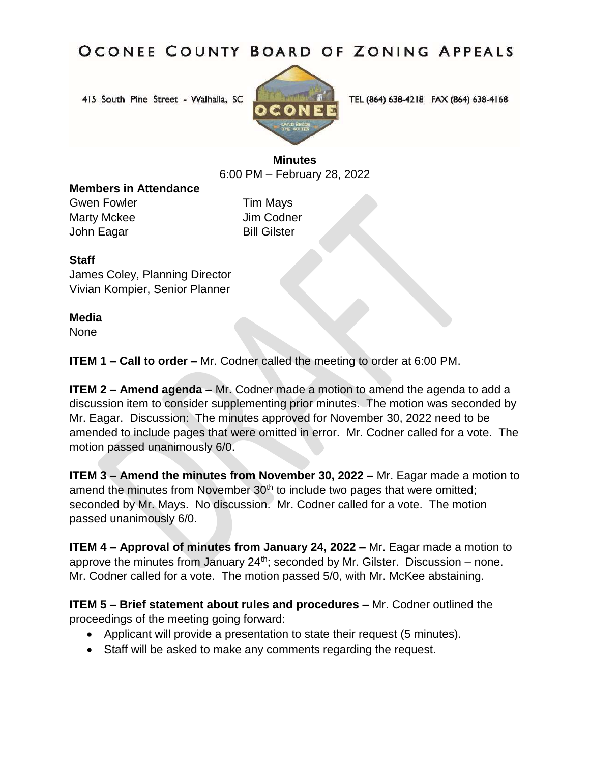# OCONEE COUNTY BOARD OF ZONING APPEALS

415 South Pine Street - Walhalla, SC



TEL (864) 638-4218 FAX (864) 638-4168

## **Minutes** 6:00 PM – February 28, 2022

#### **Members in Attendance**

Gwen Fowler **Tim Mays** Marty Mckee Jim Codner John Eagar Bill Gilster

#### **Staff**

James Coley, Planning Director Vivian Kompier, Senior Planner

#### **Media**

None

**ITEM 1 – Call to order –** Mr. Codner called the meeting to order at 6:00 PM.

**ITEM 2 – Amend agenda** – Mr. Codner made a motion to amend the agenda to add a discussion item to consider supplementing prior minutes. The motion was seconded by Mr. Eagar. Discussion: The minutes approved for November 30, 2022 need to be amended to include pages that were omitted in error. Mr. Codner called for a vote. The motion passed unanimously 6/0.

**ITEM 3 – Amend the minutes from November 30, 2022 –** Mr. Eagar made a motion to amend the minutes from November 30<sup>th</sup> to include two pages that were omitted; seconded by Mr. Mays. No discussion. Mr. Codner called for a vote. The motion passed unanimously 6/0.

**ITEM 4 – Approval of minutes from January 24, 2022 –** Mr. Eagar made a motion to approve the minutes from January  $24^{th}$ ; seconded by Mr. Gilster. Discussion – none. Mr. Codner called for a vote. The motion passed 5/0, with Mr. McKee abstaining.

**ITEM 5 – Brief statement about rules and procedures – Mr. Codner outlined the** proceedings of the meeting going forward:

- Applicant will provide a presentation to state their request (5 minutes).
- Staff will be asked to make any comments regarding the request.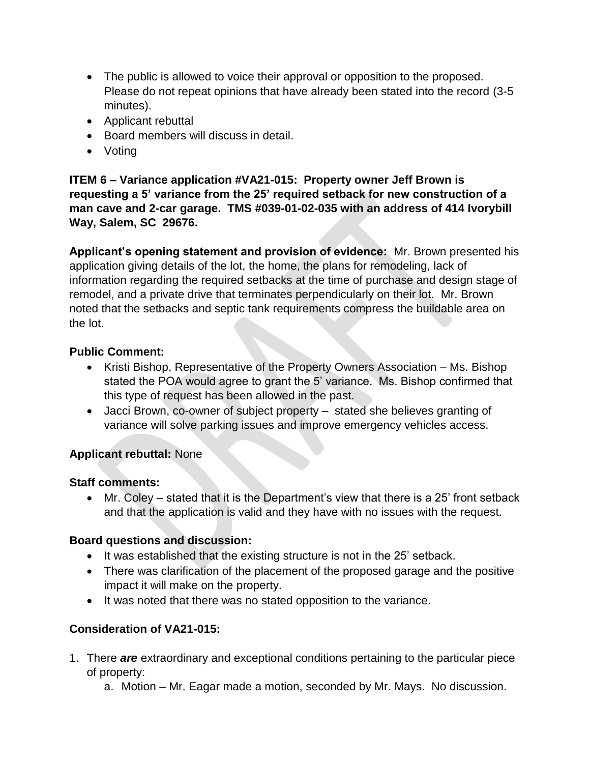- The public is allowed to voice their approval or opposition to the proposed. Please do not repeat opinions that have already been stated into the record (3-5 minutes).
- Applicant rebuttal
- Board members will discuss in detail.
- Votina

**ITEM 6 – Variance application #VA21-015: Property owner Jeff Brown is requesting a 5' variance from the 25' required setback for new construction of a man cave and 2-car garage. TMS #039-01-02-035 with an address of 414 Ivorybill Way, Salem, SC 29676.**

**Applicant's opening statement and provision of evidence:** Mr. Brown presented his application giving details of the lot, the home, the plans for remodeling, lack of information regarding the required setbacks at the time of purchase and design stage of remodel, and a private drive that terminates perpendicularly on their lot. Mr. Brown noted that the setbacks and septic tank requirements compress the buildable area on the lot.

## **Public Comment:**

- Kristi Bishop, Representative of the Property Owners Association Ms. Bishop stated the POA would agree to grant the 5' variance. Ms. Bishop confirmed that this type of request has been allowed in the past.
- Jacci Brown, co-owner of subject property stated she believes granting of variance will solve parking issues and improve emergency vehicles access.

#### **Applicant rebuttal:** None

#### **Staff comments:**

 Mr. Coley – stated that it is the Department's view that there is a 25' front setback and that the application is valid and they have with no issues with the request.

#### **Board questions and discussion:**

- It was established that the existing structure is not in the 25' setback.
- There was clarification of the placement of the proposed garage and the positive impact it will make on the property.
- It was noted that there was no stated opposition to the variance.

## **Consideration of VA21-015:**

- 1. There *are* extraordinary and exceptional conditions pertaining to the particular piece of property:
	- a. Motion Mr. Eagar made a motion, seconded by Mr. Mays. No discussion.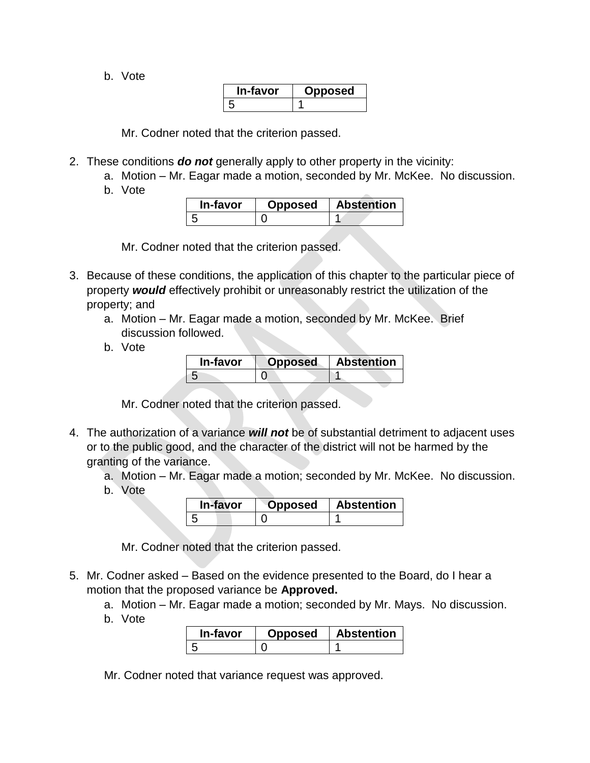b. Vote

| In-tavor | osea |
|----------|------|
| h        |      |

Mr. Codner noted that the criterion passed.

- 2. These conditions *do not* generally apply to other property in the vicinity:
	- a. Motion Mr. Eagar made a motion, seconded by Mr. McKee. No discussion.
	- b. Vote

| In-favor | <b>Opposed</b> | <b>Abstention</b> |
|----------|----------------|-------------------|
|          |                |                   |

Mr. Codner noted that the criterion passed.

- 3. Because of these conditions, the application of this chapter to the particular piece of property *would* effectively prohibit or unreasonably restrict the utilization of the property; and
	- a. Motion Mr. Eagar made a motion, seconded by Mr. McKee. Brief discussion followed.
	- b. Vote

| In-favor | Opposed | <b>Abstention</b> |
|----------|---------|-------------------|
|          |         |                   |

Mr. Codner noted that the criterion passed.

- 4. The authorization of a variance *will not* be of substantial detriment to adjacent uses or to the public good, and the character of the district will not be harmed by the granting of the variance.
	- a. Motion Mr. Eagar made a motion; seconded by Mr. McKee. No discussion.
	- b. Vote

| In-favor | )pposed | <b>Abstention</b> |
|----------|---------|-------------------|
|          |         |                   |

Mr. Codner noted that the criterion passed.

- 5. Mr. Codner asked Based on the evidence presented to the Board, do I hear a motion that the proposed variance be **Approved.**
	- a. Motion Mr. Eagar made a motion; seconded by Mr. Mays. No discussion.
	- b. Vote

| In-favor | Opposed | <b>Abstention</b> |
|----------|---------|-------------------|
|          |         |                   |

Mr. Codner noted that variance request was approved.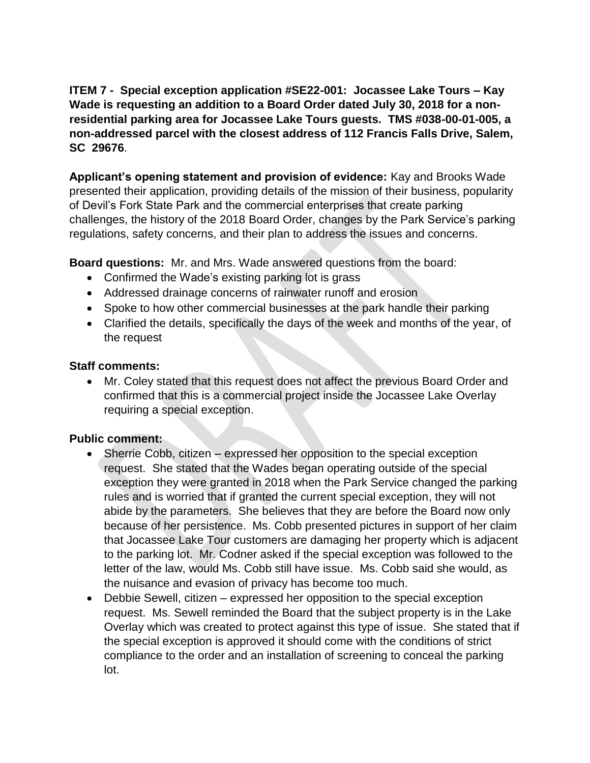**ITEM 7 -** Special exception application #SE22-001: Jocassee Lake Tours – Kay **Wade is requesting an addition to a Board Order dated July 30, 2018 for a nonresidential parking area for Jocassee Lake Tours guests. TMS #038-00-01-005, a non-addressed parcel with the closest address of 112 Francis Falls Drive, Salem, SC 29676**.

**Applicant's opening statement and provision of evidence:** Kay and Brooks Wade presented their application, providing details of the mission of their business, popularity of Devil's Fork State Park and the commercial enterprises that create parking challenges, the history of the 2018 Board Order, changes by the Park Service's parking regulations, safety concerns, and their plan to address the issues and concerns.

**Board questions:** Mr. and Mrs. Wade answered questions from the board:

- Confirmed the Wade's existing parking lot is grass
- Addressed drainage concerns of rainwater runoff and erosion
- Spoke to how other commercial businesses at the park handle their parking
- Clarified the details, specifically the days of the week and months of the year, of the request

#### **Staff comments:**

 Mr. Coley stated that this request does not affect the previous Board Order and confirmed that this is a commercial project inside the Jocassee Lake Overlay requiring a special exception.

#### **Public comment:**

- Sherrie Cobb, citizen expressed her opposition to the special exception request. She stated that the Wades began operating outside of the special exception they were granted in 2018 when the Park Service changed the parking rules and is worried that if granted the current special exception, they will not abide by the parameters. She believes that they are before the Board now only because of her persistence. Ms. Cobb presented pictures in support of her claim that Jocassee Lake Tour customers are damaging her property which is adjacent to the parking lot. Mr. Codner asked if the special exception was followed to the letter of the law, would Ms. Cobb still have issue. Ms. Cobb said she would, as the nuisance and evasion of privacy has become too much.
- Debbie Sewell, citizen expressed her opposition to the special exception request. Ms. Sewell reminded the Board that the subject property is in the Lake Overlay which was created to protect against this type of issue. She stated that if the special exception is approved it should come with the conditions of strict compliance to the order and an installation of screening to conceal the parking lot.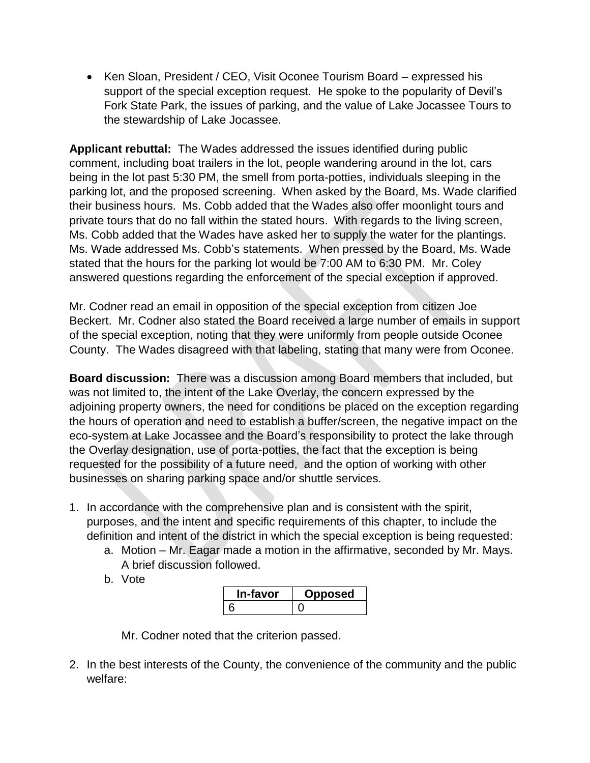• Ken Sloan, President / CEO, Visit Oconee Tourism Board – expressed his support of the special exception request. He spoke to the popularity of Devil's Fork State Park, the issues of parking, and the value of Lake Jocassee Tours to the stewardship of Lake Jocassee.

**Applicant rebuttal:** The Wades addressed the issues identified during public comment, including boat trailers in the lot, people wandering around in the lot, cars being in the lot past 5:30 PM, the smell from porta-potties, individuals sleeping in the parking lot, and the proposed screening. When asked by the Board, Ms. Wade clarified their business hours. Ms. Cobb added that the Wades also offer moonlight tours and private tours that do no fall within the stated hours. With regards to the living screen, Ms. Cobb added that the Wades have asked her to supply the water for the plantings. Ms. Wade addressed Ms. Cobb's statements. When pressed by the Board, Ms. Wade stated that the hours for the parking lot would be 7:00 AM to 6:30 PM. Mr. Coley answered questions regarding the enforcement of the special exception if approved.

Mr. Codner read an email in opposition of the special exception from citizen Joe Beckert. Mr. Codner also stated the Board received a large number of emails in support of the special exception, noting that they were uniformly from people outside Oconee County. The Wades disagreed with that labeling, stating that many were from Oconee.

**Board discussion:** There was a discussion among Board members that included, but was not limited to, the intent of the Lake Overlay, the concern expressed by the adjoining property owners, the need for conditions be placed on the exception regarding the hours of operation and need to establish a buffer/screen, the negative impact on the eco-system at Lake Jocassee and the Board's responsibility to protect the lake through the Overlay designation, use of porta-potties, the fact that the exception is being requested for the possibility of a future need, and the option of working with other businesses on sharing parking space and/or shuttle services.

- 1. In accordance with the comprehensive plan and is consistent with the spirit, purposes, and the intent and specific requirements of this chapter, to include the definition and intent of the district in which the special exception is being requested:
	- a. Motion Mr. Eagar made a motion in the affirmative, seconded by Mr. Mays. A brief discussion followed.
	- b. Vote

| `-ravor | posed |
|---------|-------|
| ห       |       |

Mr. Codner noted that the criterion passed.

2. In the best interests of the County, the convenience of the community and the public welfare: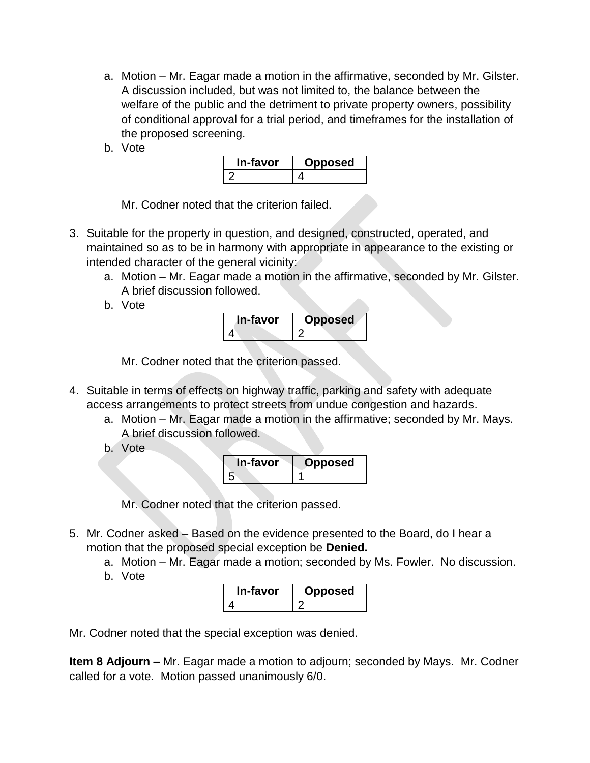- a. Motion Mr. Eagar made a motion in the affirmative, seconded by Mr. Gilster. A discussion included, but was not limited to, the balance between the welfare of the public and the detriment to private property owners, possibility of conditional approval for a trial period, and timeframes for the installation of the proposed screening.
- b. Vote

| In-favor | posed |
|----------|-------|
|          |       |

Mr. Codner noted that the criterion failed.

- 3. Suitable for the property in question, and designed, constructed, operated, and maintained so as to be in harmony with appropriate in appearance to the existing or intended character of the general vicinity:
	- a. Motion Mr. Eagar made a motion in the affirmative, seconded by Mr. Gilster. A brief discussion followed.
	- b. Vote

| In-favor | Opposed |
|----------|---------|
|          |         |

Mr. Codner noted that the criterion passed.

- 4. Suitable in terms of effects on highway traffic, parking and safety with adequate access arrangements to protect streets from undue congestion and hazards.
	- a. Motion Mr. Eagar made a motion in the affirmative; seconded by Mr. Mays. A brief discussion followed.
	- b. Vote

| In-favor      | posed |
|---------------|-------|
| $\mathcal{D}$ |       |

Mr. Codner noted that the criterion passed.

- 5. Mr. Codner asked Based on the evidence presented to the Board, do I hear a motion that the proposed special exception be **Denied.**
	- a. Motion Mr. Eagar made a motion; seconded by Ms. Fowler. No discussion.
	- b. Vote

| n-tavor | osed |
|---------|------|
|         |      |

Mr. Codner noted that the special exception was denied.

**Item 8 Adjourn –** Mr. Eagar made a motion to adjourn; seconded by Mays. Mr. Codner called for a vote. Motion passed unanimously 6/0.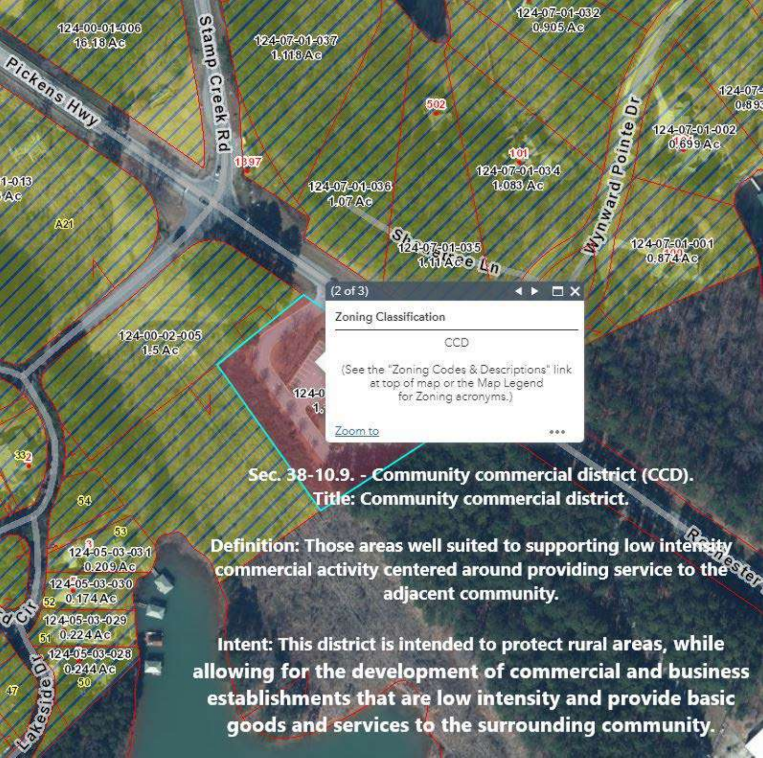

Sec. 38-10.9. - Community commercial district (CCD). **Title: Community commercial district.** 

124-05-03-031  $0.209$ Ac 124405-03-060 52 0.174 Ac 12405-03-029 51 0.224 Ac 12446-06-028 С 0.244Ac **Estreamers** 

 $Q$   $Q$ 

M

ഓ

88

Definition: Those areas well suited to supporting low intensity commercial activity centered around providing service to the  $\mathcal{P}_{\mathcal{O}_{2}}$ adjacent community.

Intent: This district is intended to protect rural areas, while allowing for the development of commercial and business establishments that are low intensity and provide basic goods and services to the surrounding community.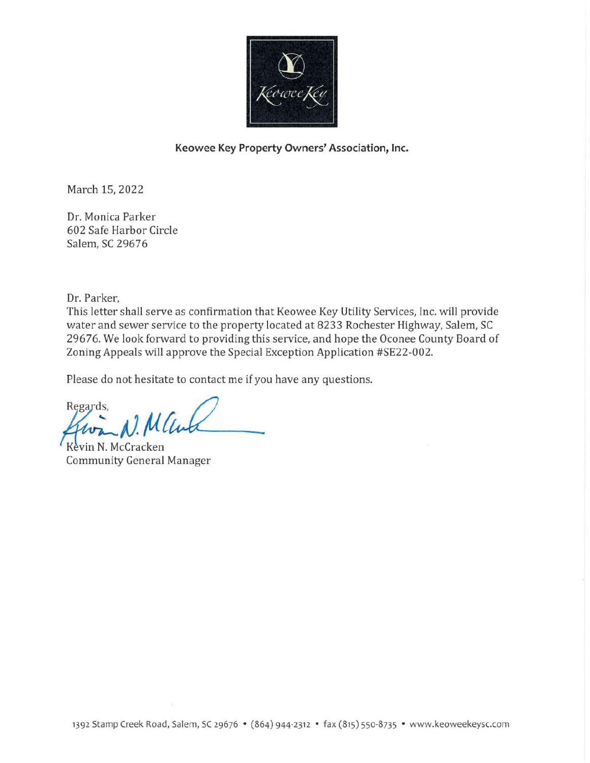

#### Keowee Key Property Owners' Association, Inc.

March 15, 2022

Dr. Monica Parker 602 Safe Harbor Circle Salem, SC 29676

Dr. Parker,

This letter shall serve as confirmation that Keowee Key Utility Services, Inc. will provide water and sewer service to the property located at 8233 Rochester Highway, Salem, SC 29676. We look forward to providing this service, and hope the Oconee County Board of Zoning Appeals will approve the Special Exception Application #SE22-002.

Please do not hesitate to contact me if you have any questions.

Regards,

Kevin N. McCracken **Community General Manager**